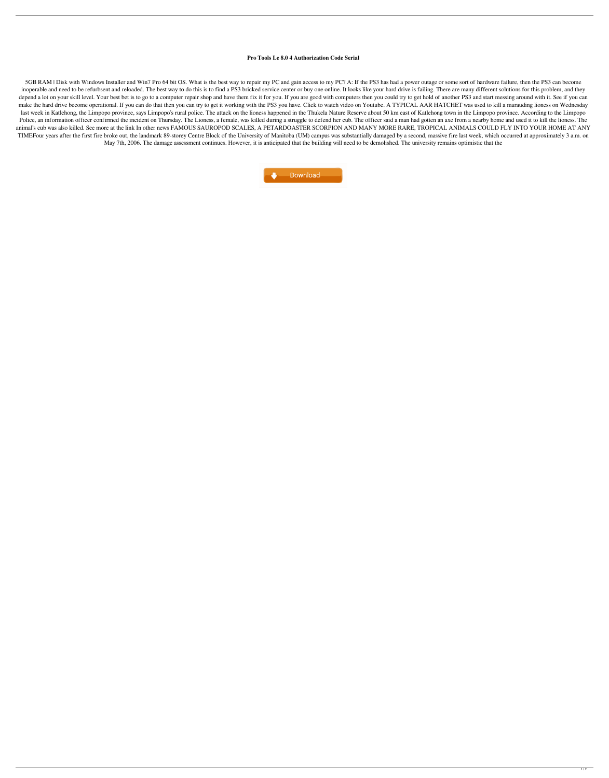## **Pro Tools Le 8.0 4 Authorization Code Serial**

5GB RAM | Disk with Windows Installer and Win7 Pro 64 bit OS. What is the best way to repair my PC and gain access to my PC? A: If the PS3 has had a power outage or some sort of hardware failure, then the PS3 can become inoperable and need to be refurbsent and reloaded. The best way to do this is to find a PS3 bricked service center or buy one online. It looks like your hard drive is failing. There are many different solutions for this pr depend a lot on your skill level. Your best bet is to go to a computer repair shop and have them fix it for you. If you are good with computers then you could try to get hold of another PS3 and start messing around with it make the hard drive become operational. If you can do that then you can try to get it working with the PS3 you have. Click to watch video on Youtube. A TYPICAL AAR HATCHET was used to kill a marauding lioness on Wednesday last week in Katlehong, the Limpopo province, says Limpopo's rural police. The attack on the lioness happened in the Thukela Nature Reserve about 50 km east of Katlehong town in the Limpopo province. According to the Limpo Police, an information officer confirmed the incident on Thursday. The Lioness, a female, was killed during a struggle to defend her cub. The officer said a man had gotten an axe from a nearby home and used it to kill the animal's cub was also killed. See more at the link In other news FAMOUS SAUROPOD SCALES, A PETARDOASTER SCORPION AND MANY MORE RARE, TROPICAL ANIMALS COULD FLY INTO YOUR HOME AT ANY TIMEFour years after the first fire broke out, the landmark 89-storey Centre Block of the University of Manitoba (UM) campus was substantially damaged by a second, massive fire last week, which occurred at approximately 3 May 7th, 2006. The damage assessment continues. However, it is anticipated that the building will need to be demolished. The university remains optimistic that the